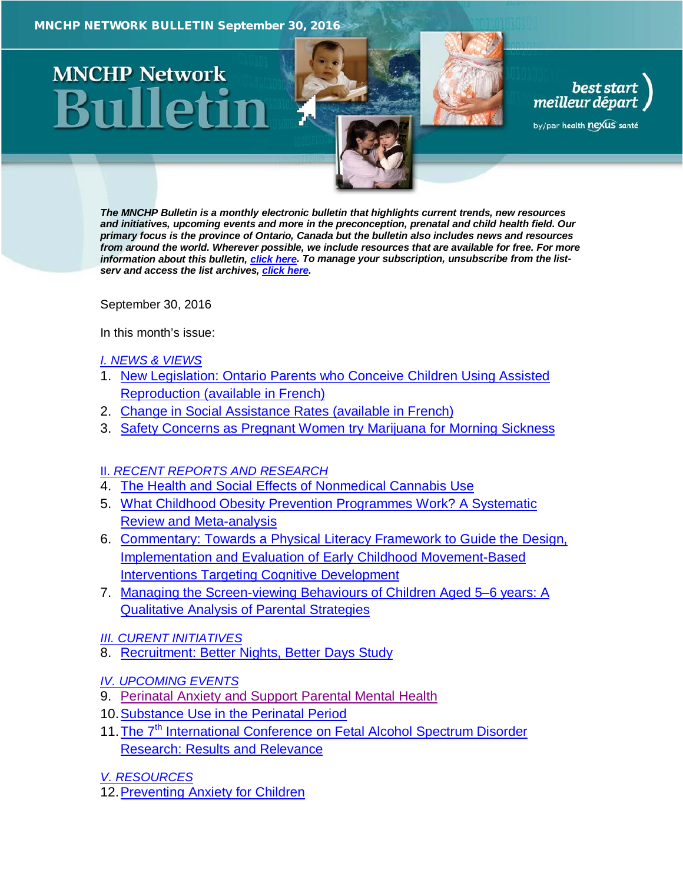# **MNCHP Network**

*The MNCHP Bulletin is a monthly electronic bulletin that highlights current trends, new resources and initiatives, upcoming events and more in the preconception, prenatal and child health field. Our primary focus is the province of Ontario, Canada but the bulletin also includes news and resources from around the world. Wherever possible, we include resources that are available for free. For more information about this bulletin, [click here.](#page-10-0) To manage your subscription, unsubscribe from the listserv and access the list archives, [click here.](http://en.beststart.org/services/information-exchange)* 

best start<br>, meilleur départ

by/par health nexus santé

<span id="page-0-0"></span>September 30, 2016

In this month's issue:

#### *[I. NEWS & VIEWS](#page-1-0)*

- 1. [New Legislation: Ontario Parents who Conceive Children Using Assisted](#page-1-1)  [Reproduction \(available in French\)](#page-1-1)
- 2. [Change in Social Assistance Rates \(available in French\)](#page-1-2)
- 3. [Safety Concerns as Pregnant Women try Marijuana for Morning Sickness](#page-2-0)

# II. *[RECENT REPORTS AND RESEARCH](#page-2-1)*

- 4. [The Health and Social Effects of Nonmedical Cannabis Use](#page-3-0)
- 5. [What Childhood Obesity Prevention Programmes Work? A Systematic](#page-3-1)  [Review and Meta-analysis](#page-3-1)
- 6. [Commentary: Towards a Physical Literacy Framework to Guide the Design,](#page-4-0)  Implementation and [Evaluation of Early Childhood Movement-Based](#page-4-0)  [Interventions Targeting Cognitive Development](#page-4-0)
- 7. [Managing the Screen-viewing Behaviours of Children Aged 5–6](#page-5-0) years: A [Qualitative Analysis of Parental Strategies](#page-5-0)
- *[III. CURENT INITIATIVES](#page-6-0)*
- 8. [Recruitment: Better Nights, Better Days Study](#page-6-1)
- *[IV. UPCOMING EVENTS](#page-7-0)*
- 9. [Perinatal Anxiety and Support Parental Mental Health](#page-7-1)
- 10[.Substance Use in the Perinatal Period](#page-7-2)
- 11. The 7<sup>th</sup> International Conference on Fetal Alcohol Spectrum Disorder [Research: Results and Relevance](#page-8-0)
- *[V. RESOURCES](#page-8-1)*
- 12[.Preventing Anxiety for Children](#page-8-2)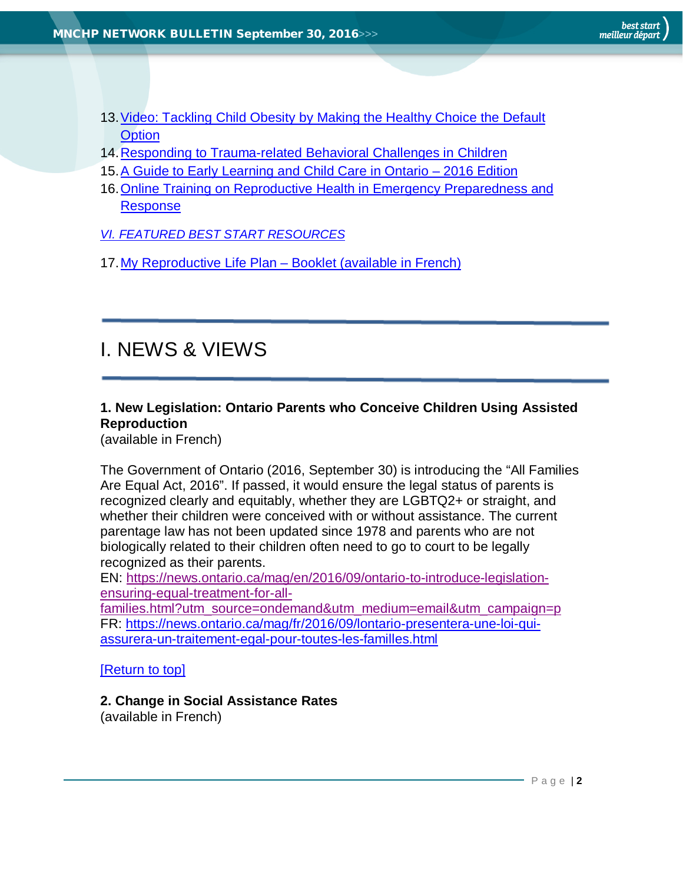- [13.Video: Tackling Child Obesity by Making the Healthy Choice the Default](#page-9-0)  **[Option](#page-9-0)**
- 14[.Responding to Trauma-related Behavioral Challenges in Children](#page-9-1)
- 15[.A Guide to Early Learning and Child Care in Ontario –](#page-9-2) 2016 Edition
- [16.Online Training on Reproductive Health in Emergency Preparedness and](#page-9-3)  [Response](#page-9-3)
- *[VI. FEATURED BEST START RESOURCES](#page-10-1)*
- 17[.My Reproductive Life Plan –](#page-10-2) Booklet (available in French)

# <span id="page-1-0"></span>I. NEWS & VIEWS

# <span id="page-1-1"></span>**1. New Legislation: Ontario Parents who Conceive Children Using Assisted Reproduction**

(available in French)

The Government of Ontario (2016, September 30) is introducing the "All Families Are Equal Act, 2016". If passed, it would ensure the legal status of parents is recognized clearly and equitably, whether they are LGBTQ2+ or straight, and whether their children were conceived with or without assistance. The current parentage law has not been updated since 1978 and parents who are not biologically related to their children often need to go to court to be legally recognized as their parents.

EN: [https://news.ontario.ca/mag/en/2016/09/ontario-to-introduce-legislation](https://news.ontario.ca/mag/en/2016/09/ontario-to-introduce-legislation-ensuring-equal-treatment-for-all-families.html?utm_source=ondemand&utm_medium=email&utm_campaign=p)[ensuring-equal-treatment-for-all-](https://news.ontario.ca/mag/en/2016/09/ontario-to-introduce-legislation-ensuring-equal-treatment-for-all-families.html?utm_source=ondemand&utm_medium=email&utm_campaign=p)

[families.html?utm\\_source=ondemand&utm\\_medium=email&utm\\_campaign=p](https://news.ontario.ca/mag/en/2016/09/ontario-to-introduce-legislation-ensuring-equal-treatment-for-all-families.html?utm_source=ondemand&utm_medium=email&utm_campaign=p) FR: [https://news.ontario.ca/mag/fr/2016/09/lontario-presentera-une-loi-qui](https://news.ontario.ca/mag/fr/2016/09/lontario-presentera-une-loi-qui-assurera-un-traitement-egal-pour-toutes-les-familles.html)[assurera-un-traitement-egal-pour-toutes-les-familles.html](https://news.ontario.ca/mag/fr/2016/09/lontario-presentera-une-loi-qui-assurera-un-traitement-egal-pour-toutes-les-familles.html)

[\[Return to top\]](#page-0-0)

# <span id="page-1-2"></span>**2. Change in Social Assistance Rates**

(available in French)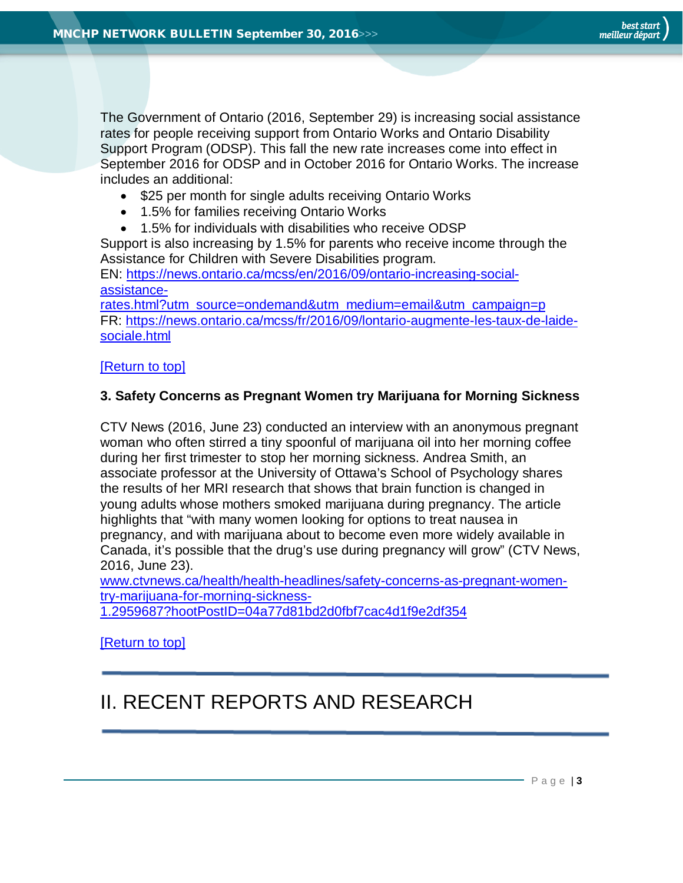The Government of Ontario (2016, September 29) is increasing social assistance rates for people receiving support from Ontario Works and Ontario Disability Support Program (ODSP). This fall the new rate increases come into effect in September 2016 for ODSP and in October 2016 for Ontario Works. The increase includes an additional:

- \$25 per month for single adults receiving Ontario Works
- 1.5% for families receiving Ontario Works
- 1.5% for individuals with disabilities who receive ODSP

Support is also increasing by 1.5% for parents who receive income through the Assistance for Children with Severe Disabilities program.

EN: [https://news.ontario.ca/mcss/en/2016/09/ontario-increasing-social](https://news.ontario.ca/mcss/en/2016/09/ontario-increasing-social-assistance-rates.html?utm_source=ondemand&utm_medium=email&utm_campaign=p)[assistance-](https://news.ontario.ca/mcss/en/2016/09/ontario-increasing-social-assistance-rates.html?utm_source=ondemand&utm_medium=email&utm_campaign=p)

[rates.html?utm\\_source=ondemand&utm\\_medium=email&utm\\_campaign=p](https://news.ontario.ca/mcss/en/2016/09/ontario-increasing-social-assistance-rates.html?utm_source=ondemand&utm_medium=email&utm_campaign=p) FR: [https://news.ontario.ca/mcss/fr/2016/09/lontario-augmente-les-taux-de-laide](https://news.ontario.ca/mcss/fr/2016/09/lontario-augmente-les-taux-de-laide-sociale.html)[sociale.html](https://news.ontario.ca/mcss/fr/2016/09/lontario-augmente-les-taux-de-laide-sociale.html)

#### [\[Return to top\]](#page-0-0)

#### <span id="page-2-0"></span>**3. Safety Concerns as Pregnant Women try Marijuana for Morning Sickness**

CTV News (2016, June 23) conducted an interview with an anonymous pregnant woman who often stirred a tiny spoonful of marijuana oil into her morning coffee during her first trimester to stop her morning sickness. Andrea Smith, an associate professor at the University of Ottawa's School of Psychology shares the results of her MRI research that shows that brain function is changed in young adults whose mothers smoked marijuana during pregnancy. The article highlights that "with many women looking for options to treat nausea in pregnancy, and with marijuana about to become even more widely available in Canada, it's possible that the drug's use during pregnancy will grow" (CTV News, 2016, June 23).

[www.ctvnews.ca/health/health-headlines/safety-concerns-as-pregnant-women](http://www.ctvnews.ca/health/health-headlines/safety-concerns-as-pregnant-women-try-marijuana-for-morning-sickness-1.2959687?hootPostID=04a77d81bd2d0fbf7cac4d1f9e2df354)[try-marijuana-for-morning-sickness-](http://www.ctvnews.ca/health/health-headlines/safety-concerns-as-pregnant-women-try-marijuana-for-morning-sickness-1.2959687?hootPostID=04a77d81bd2d0fbf7cac4d1f9e2df354)

[1.2959687?hootPostID=04a77d81bd2d0fbf7cac4d1f9e2df354](http://www.ctvnews.ca/health/health-headlines/safety-concerns-as-pregnant-women-try-marijuana-for-morning-sickness-1.2959687?hootPostID=04a77d81bd2d0fbf7cac4d1f9e2df354)

[\[Return to top\]](#page-0-0)

# <span id="page-2-1"></span>II. RECENT REPORTS AND RESEARCH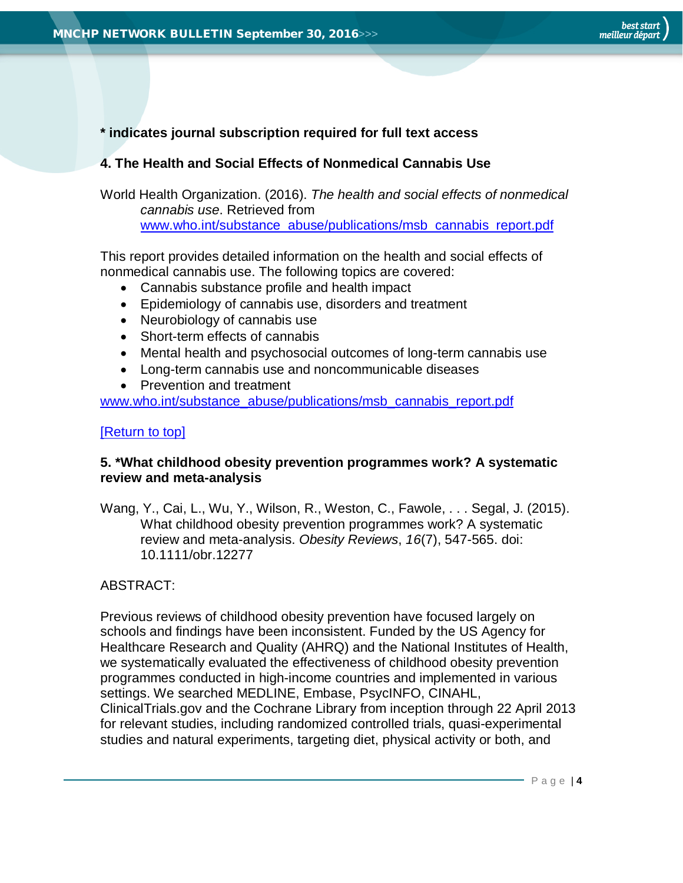# **\* indicates journal subscription required for full text access**

# <span id="page-3-0"></span>**4. The Health and Social Effects of Nonmedical Cannabis Use**

World Health Organization. (2016). *The health and social effects of nonmedical cannabis use*. Retrieved from [www.who.int/substance\\_abuse/publications/msb\\_cannabis\\_report.pdf](http://www.who.int/substance_abuse/publications/msb_cannabis_report.pdf)

This report provides detailed information on the health and social effects of nonmedical cannabis use. The following topics are covered:

- Cannabis substance profile and health impact
- Epidemiology of cannabis use, disorders and treatment
- Neurobiology of cannabis use
- Short-term effects of cannabis
- Mental health and psychosocial outcomes of long-term cannabis use
- Long-term cannabis use and noncommunicable diseases
- Prevention and treatment

[www.who.int/substance\\_abuse/publications/msb\\_cannabis\\_report.pdf](http://www.who.int/substance_abuse/publications/msb_cannabis_report.pdf)

# [\[Return to top\]](#page-0-0)

# <span id="page-3-1"></span>**5. \*What childhood obesity prevention programmes work? A systematic review and meta-analysis**

Wang, Y., Cai, L., Wu, Y., Wilson, R., Weston, C., Fawole, . . . Segal, J. (2015). What childhood obesity prevention programmes work? A systematic review and meta-analysis. *Obesity Reviews*, *16*(7), 547-565. doi: 10.1111/obr.12277

# ABSTRACT:

Previous reviews of childhood obesity prevention have focused largely on schools and findings have been inconsistent. Funded by the US Agency for Healthcare Research and Quality (AHRQ) and the National Institutes of Health, we systematically evaluated the effectiveness of childhood obesity prevention programmes conducted in high-income countries and implemented in various settings. We searched MEDLINE, Embase, PsycINFO, CINAHL, ClinicalTrials.gov and the Cochrane Library from inception through 22 April 2013 for relevant studies, including randomized controlled trials, quasi-experimental studies and natural experiments, targeting diet, physical activity or both, and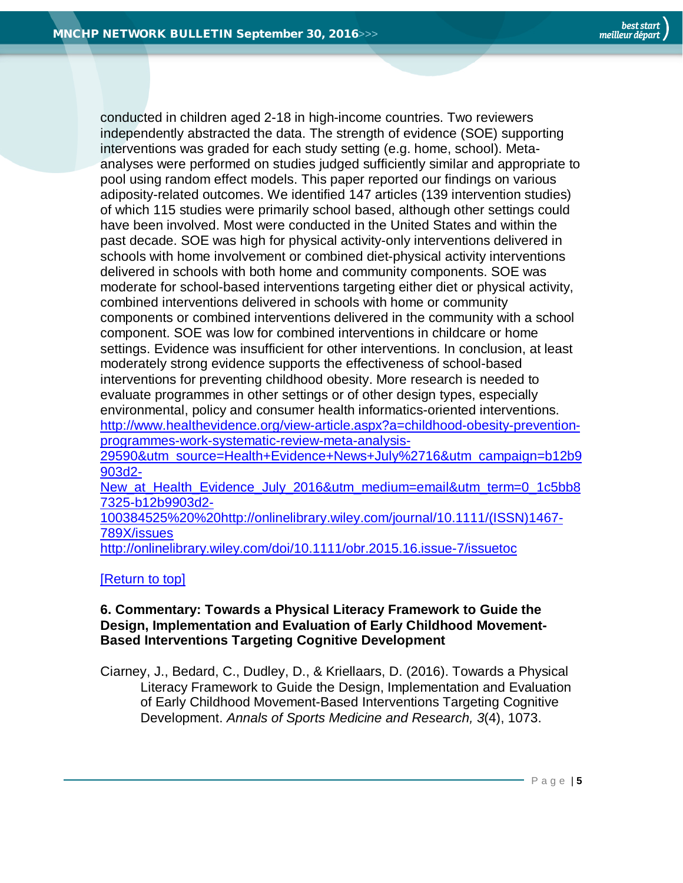conducted in children aged 2-18 in high-income countries. Two reviewers independently abstracted the data. The strength of evidence (SOE) supporting interventions was graded for each study setting (e.g. home, school). Metaanalyses were performed on studies judged sufficiently similar and appropriate to pool using random effect models. This paper reported our findings on various adiposity-related outcomes. We identified 147 articles (139 intervention studies) of which 115 studies were primarily school based, although other settings could have been involved. Most were conducted in the United States and within the past decade. SOE was high for physical activity-only interventions delivered in schools with home involvement or combined diet-physical activity interventions delivered in schools with both home and community components. SOE was moderate for school-based interventions targeting either diet or physical activity, combined interventions delivered in schools with home or community components or combined interventions delivered in the community with a school component. SOE was low for combined interventions in childcare or home settings. Evidence was insufficient for other interventions. In conclusion, at least moderately strong evidence supports the effectiveness of school-based interventions for preventing childhood obesity. More research is needed to evaluate programmes in other settings or of other design types, especially environmental, policy and consumer health informatics-oriented interventions. [http://www.healthevidence.org/view-article.aspx?a=childhood-obesity-prevention](http://www.healthevidence.org/view-article.aspx?a=childhood-obesity-prevention-programmes-work-systematic-review-meta-analysis-29590&utm_source=Health+Evidence+News+July%2716&utm_campaign=b12b9903d2-New_at_Health_Evidence_July_2016&utm_medium=email&utm_term=0_1c5bb87325-b12b9903d2-100384525%20%20http://onlinelibrary.wiley.com/journal/10.1111/(ISSN)1467-789X/issues)[programmes-work-systematic-review-meta-analysis-](http://www.healthevidence.org/view-article.aspx?a=childhood-obesity-prevention-programmes-work-systematic-review-meta-analysis-29590&utm_source=Health+Evidence+News+July%2716&utm_campaign=b12b9903d2-New_at_Health_Evidence_July_2016&utm_medium=email&utm_term=0_1c5bb87325-b12b9903d2-100384525%20%20http://onlinelibrary.wiley.com/journal/10.1111/(ISSN)1467-789X/issues)

[29590&utm\\_source=Health+Evidence+News+July%2716&utm\\_campaign=b12b9](http://www.healthevidence.org/view-article.aspx?a=childhood-obesity-prevention-programmes-work-systematic-review-meta-analysis-29590&utm_source=Health+Evidence+News+July%2716&utm_campaign=b12b9903d2-New_at_Health_Evidence_July_2016&utm_medium=email&utm_term=0_1c5bb87325-b12b9903d2-100384525%20%20http://onlinelibrary.wiley.com/journal/10.1111/(ISSN)1467-789X/issues) [903d2-](http://www.healthevidence.org/view-article.aspx?a=childhood-obesity-prevention-programmes-work-systematic-review-meta-analysis-29590&utm_source=Health+Evidence+News+July%2716&utm_campaign=b12b9903d2-New_at_Health_Evidence_July_2016&utm_medium=email&utm_term=0_1c5bb87325-b12b9903d2-100384525%20%20http://onlinelibrary.wiley.com/journal/10.1111/(ISSN)1467-789X/issues)

New at Health Evidence July 2016&utm medium=email&utm\_term=0\_1c5bb8 [7325-b12b9903d2-](http://www.healthevidence.org/view-article.aspx?a=childhood-obesity-prevention-programmes-work-systematic-review-meta-analysis-29590&utm_source=Health+Evidence+News+July%2716&utm_campaign=b12b9903d2-New_at_Health_Evidence_July_2016&utm_medium=email&utm_term=0_1c5bb87325-b12b9903d2-100384525%20%20http://onlinelibrary.wiley.com/journal/10.1111/(ISSN)1467-789X/issues)

[100384525%20%20http://onlinelibrary.wiley.com/journal/10.1111/\(ISSN\)1467-](http://www.healthevidence.org/view-article.aspx?a=childhood-obesity-prevention-programmes-work-systematic-review-meta-analysis-29590&utm_source=Health+Evidence+News+July%2716&utm_campaign=b12b9903d2-New_at_Health_Evidence_July_2016&utm_medium=email&utm_term=0_1c5bb87325-b12b9903d2-100384525%20%20http://onlinelibrary.wiley.com/journal/10.1111/(ISSN)1467-789X/issues) [789X/issues](http://www.healthevidence.org/view-article.aspx?a=childhood-obesity-prevention-programmes-work-systematic-review-meta-analysis-29590&utm_source=Health+Evidence+News+July%2716&utm_campaign=b12b9903d2-New_at_Health_Evidence_July_2016&utm_medium=email&utm_term=0_1c5bb87325-b12b9903d2-100384525%20%20http://onlinelibrary.wiley.com/journal/10.1111/(ISSN)1467-789X/issues)

<http://onlinelibrary.wiley.com/doi/10.1111/obr.2015.16.issue-7/issuetoc>

#### [\[Return to top\]](#page-0-0)

#### <span id="page-4-0"></span>**6. Commentary: Towards a Physical Literacy Framework to Guide the Design, Implementation and Evaluation of Early Childhood Movement-Based Interventions Targeting Cognitive Development**

Ciarney, J., Bedard, C., Dudley, D., & Kriellaars, D. (2016). Towards a Physical Literacy Framework to Guide the Design, Implementation and Evaluation of Early Childhood Movement-Based Interventions Targeting Cognitive Development. *Annals of Sports Medicine and Research, 3*(4), 1073.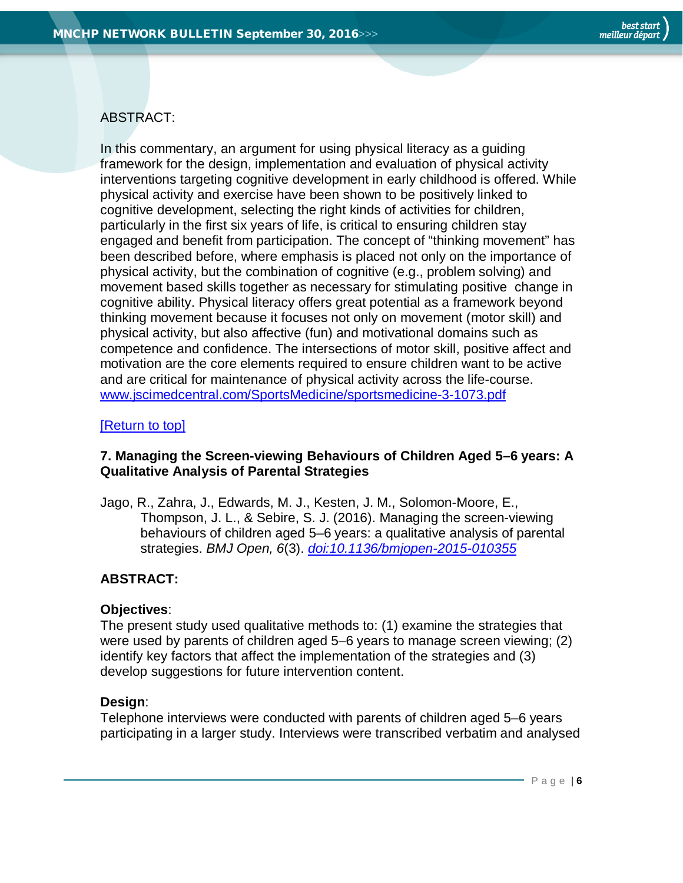## ABSTRACT:

In this commentary, an argument for using physical literacy as a guiding framework for the design, implementation and evaluation of physical activity interventions targeting cognitive development in early childhood is offered. While physical activity and exercise have been shown to be positively linked to cognitive development, selecting the right kinds of activities for children, particularly in the first six years of life, is critical to ensuring children stay engaged and benefit from participation. The concept of "thinking movement" has been described before, where emphasis is placed not only on the importance of physical activity, but the combination of cognitive (e.g., problem solving) and movement based skills together as necessary for stimulating positive change in cognitive ability. Physical literacy offers great potential as a framework beyond thinking movement because it focuses not only on movement (motor skill) and physical activity, but also affective (fun) and motivational domains such as competence and confidence. The intersections of motor skill, positive affect and motivation are the core elements required to ensure children want to be active and are critical for maintenance of physical activity across the life-course. [www.jscimedcentral.com/SportsMedicine/sportsmedicine-3-1073.pdf](http://www.jscimedcentral.com/SportsMedicine/sportsmedicine-3-1073.pdf)

#### [\[Return to top\]](#page-0-0)

#### <span id="page-5-0"></span>**7. Managing the Screen-viewing Behaviours of Children Aged 5–6 years: A Qualitative Analysis of Parental Strategies**

Jago, R., Zahra, J., Edwards, M. J., Kesten, J. M., Solomon-Moore, E., Thompson, J. L., & Sebire, S. J. (2016). Managing the screen-viewing behaviours of children aged 5–6 years: a qualitative analysis of parental strategies. *BMJ Open, 6*(3). *[doi:10.1136/bmjopen-2015-010355](http://bmjopen.bmj.com/content/6/3/e010355.full)*

# **ABSTRACT:**

#### **Objectives**:

The present study used qualitative methods to: (1) examine the strategies that were used by parents of children aged 5–6 years to manage screen viewing; (2) identify key factors that affect the implementation of the strategies and (3) develop suggestions for future intervention content.

#### **Design**:

Telephone interviews were conducted with parents of children aged 5–6 years participating in a larger study. Interviews were transcribed verbatim and analysed

Page | **6**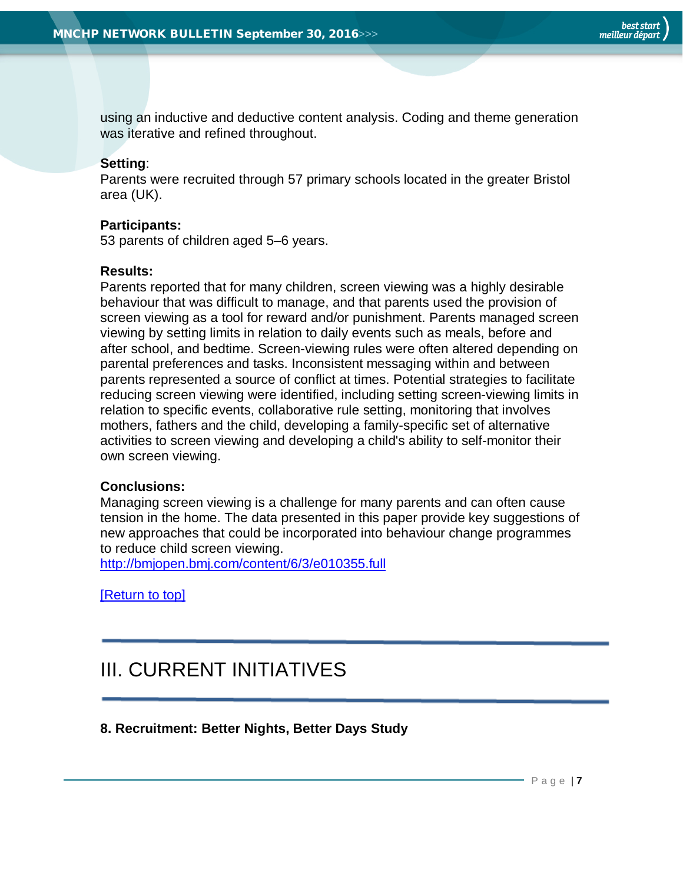using an inductive and deductive content analysis. Coding and theme generation was iterative and refined throughout.

## **Setting**:

Parents were recruited through 57 primary schools located in the greater Bristol area (UK).

#### **Participants:**

53 parents of children aged 5–6 years.

#### **Results:**

Parents reported that for many children, screen viewing was a highly desirable behaviour that was difficult to manage, and that parents used the provision of screen viewing as a tool for reward and/or punishment. Parents managed screen viewing by setting limits in relation to daily events such as meals, before and after school, and bedtime. Screen-viewing rules were often altered depending on parental preferences and tasks. Inconsistent messaging within and between parents represented a source of conflict at times. Potential strategies to facilitate reducing screen viewing were identified, including setting screen-viewing limits in relation to specific events, collaborative rule setting, monitoring that involves mothers, fathers and the child, developing a family-specific set of alternative activities to screen viewing and developing a child's ability to self-monitor their own screen viewing.

#### **Conclusions:**

Managing screen viewing is a challenge for many parents and can often cause tension in the home. The data presented in this paper provide key suggestions of new approaches that could be incorporated into behaviour change programmes to reduce child screen viewing.

<http://bmjopen.bmj.com/content/6/3/e010355.full>

[\[Return to top\]](#page-0-0)

# <span id="page-6-0"></span>III. CURRENT INITIATIVES

<span id="page-6-1"></span>**8. Recruitment: Better Nights, Better Days Study**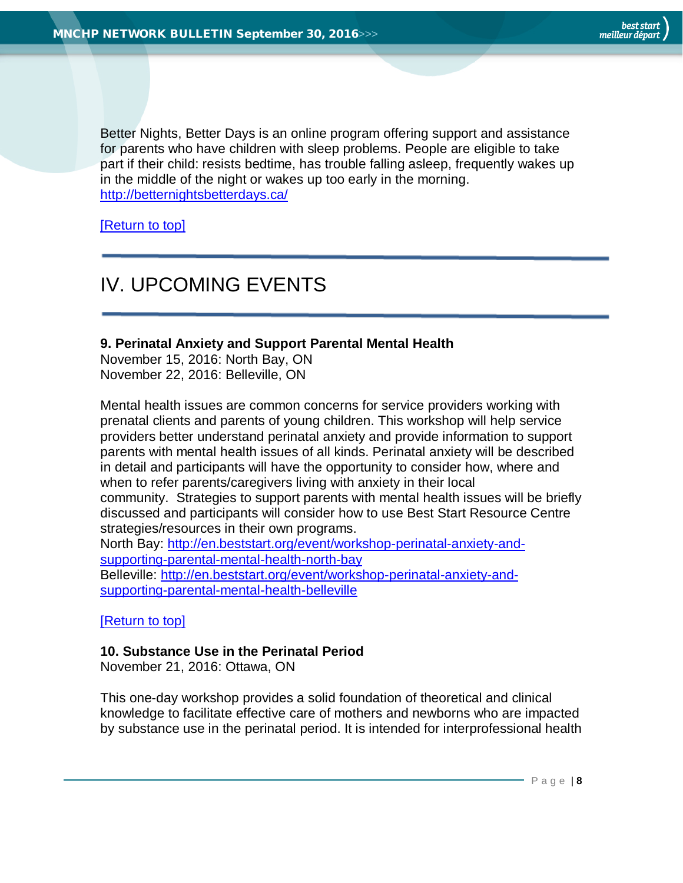Better Nights, Better Days is an online program offering support and assistance for parents who have children with sleep problems. People are eligible to take part if their child: resists bedtime, has trouble falling asleep, frequently wakes up in the middle of the night or wakes up too early in the morning. <http://betternightsbetterdays.ca/>

[\[Return to top\]](#page-0-0)

# <span id="page-7-0"></span>IV. UPCOMING EVENTS

#### <span id="page-7-1"></span>**9. Perinatal Anxiety and Support Parental Mental Health**

November 15, 2016: North Bay, ON November 22, 2016: Belleville, ON

Mental health issues are common concerns for service providers working with prenatal clients and parents of young children. This workshop will help service providers better understand perinatal anxiety and provide information to support parents with mental health issues of all kinds. Perinatal anxiety will be described in detail and participants will have the opportunity to consider how, where and when to refer parents/caregivers living with anxiety in their local community. Strategies to support parents with mental health issues will be briefly discussed and participants will consider how to use Best Start Resource Centre strategies/resources in their own programs.

North Bay: [http://en.beststart.org/event/workshop-perinatal-anxiety-and](http://en.beststart.org/event/workshop-perinatal-anxiety-and-supporting-parental-mental-health-north-bay)[supporting-parental-mental-health-north-bay](http://en.beststart.org/event/workshop-perinatal-anxiety-and-supporting-parental-mental-health-north-bay) Belleville: [http://en.beststart.org/event/workshop-perinatal-anxiety-and-](http://en.beststart.org/event/workshop-perinatal-anxiety-and-supporting-parental-mental-health-belleville)

[supporting-parental-mental-health-belleville](http://en.beststart.org/event/workshop-perinatal-anxiety-and-supporting-parental-mental-health-belleville)

[\[Return to top\]](#page-0-0)

#### <span id="page-7-2"></span>**10. Substance Use in the Perinatal Period**

November 21, 2016: Ottawa, ON

This one-day workshop provides a solid foundation of theoretical and clinical knowledge to facilitate effective care of mothers and newborns who are impacted by substance use in the perinatal period. It is intended for interprofessional health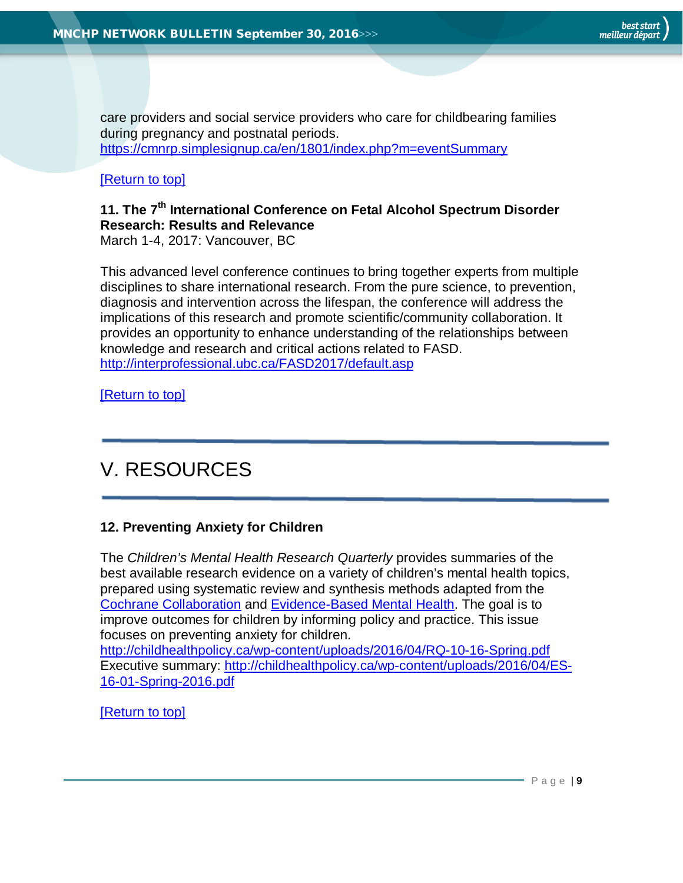care providers and social service providers who care for childbearing families during pregnancy and postnatal periods.

<https://cmnrp.simplesignup.ca/en/1801/index.php?m=eventSummary>

# [\[Return to top\]](#page-0-0)

# <span id="page-8-0"></span>**11. The 7th International Conference on Fetal Alcohol Spectrum Disorder Research: Results and Relevance**

March 1-4, 2017: Vancouver, BC

This advanced level conference continues to bring together experts from multiple disciplines to share international research. From the pure science, to prevention, diagnosis and intervention across the lifespan, the conference will address the implications of this research and promote scientific/community collaboration. It provides an opportunity to enhance understanding of the relationships between knowledge and research and critical actions related to FASD. <http://interprofessional.ubc.ca/FASD2017/default.asp>

[\[Return to top\]](#page-0-0)

# <span id="page-8-1"></span>V. RESOURCES

# <span id="page-8-2"></span>**12. Preventing Anxiety for Children**

The *Children's Mental Health Research Quarterly* provides summaries of the best available research evidence on a variety of children's mental health topics, prepared using systematic review and synthesis methods adapted from the [Cochrane Collaboration](http://www.cochrane-handbook.org/) and [Evidence-Based Mental Health.](http://ebmh.bmj.com/content/15/2/e3.full?sid=9a709906-a9ed-4144-bd35-297c433bd2ec) The goal is to improve outcomes for children by informing policy and practice. This issue focuses on preventing anxiety for children. <http://childhealthpolicy.ca/wp-content/uploads/2016/04/RQ-10-16-Spring.pdf>

Executive summary: [http://childhealthpolicy.ca/wp-content/uploads/2016/04/ES-](http://childhealthpolicy.ca/wp-content/uploads/2016/04/ES-16-01-Spring-2016.pdf)[16-01-Spring-2016.pdf](http://childhealthpolicy.ca/wp-content/uploads/2016/04/ES-16-01-Spring-2016.pdf)

# [\[Return to top\]](#page-0-0)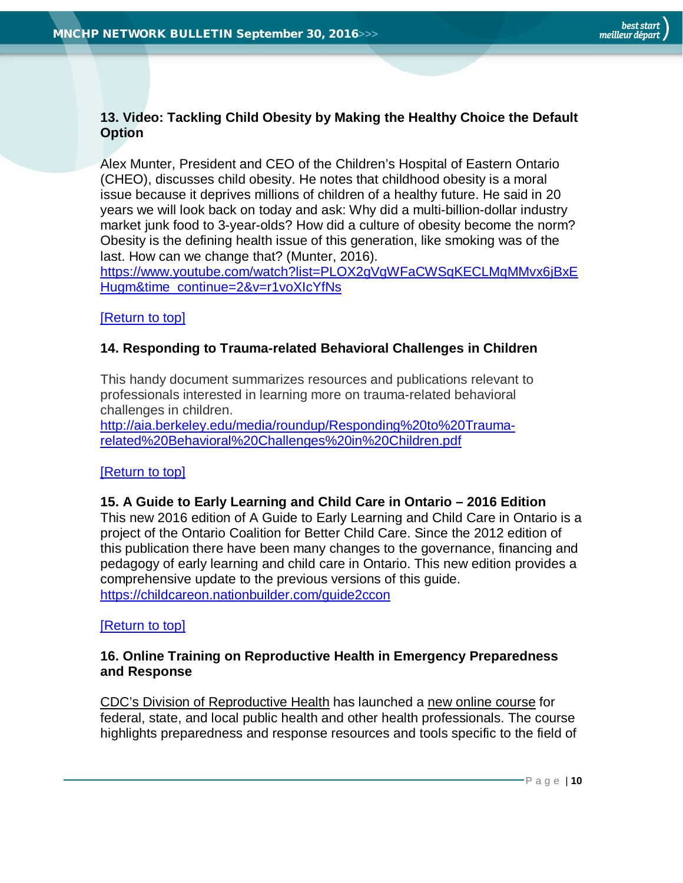# <span id="page-9-0"></span>**13. Video: Tackling Child Obesity by Making the Healthy Choice the Default Option**

Alex Munter, President and CEO of the Children's Hospital of Eastern Ontario (CHEO), discusses child obesity. He notes that childhood obesity is a moral issue because it deprives millions of children of a healthy future. He said in 20 years we will look back on today and ask: Why did a multi-billion-dollar industry market junk food to 3-year-olds? How did a culture of obesity become the norm? Obesity is the defining health issue of this generation, like smoking was of the last. How can we change that? (Munter, 2016).

[https://www.youtube.com/watch?list=PLOX2gVgWFaCWSqKECLMqMMvx6jBxE](https://www.youtube.com/watch?list=PLOX2gVgWFaCWSqKECLMqMMvx6jBxEHugm&time_continue=2&v=r1voXIcYfNs) [Hugm&time\\_continue=2&v=r1voXIcYfNs](https://www.youtube.com/watch?list=PLOX2gVgWFaCWSqKECLMqMMvx6jBxEHugm&time_continue=2&v=r1voXIcYfNs)

#### [\[Return to top\]](#page-0-0)

# <span id="page-9-1"></span>**14. Responding to Trauma-related Behavioral Challenges in Children**

This handy document summarizes resources and publications relevant to professionals interested in learning more on trauma-related behavioral challenges in children.

[http://aia.berkeley.edu/media/roundup/Responding%20to%20Trauma](http://aia.berkeley.edu/media/roundup/Responding%20to%20Trauma-related%20Behavioral%20Challenges%20in%20Children.pdf)[related%20Behavioral%20Challenges%20in%20Children.pdf](http://aia.berkeley.edu/media/roundup/Responding%20to%20Trauma-related%20Behavioral%20Challenges%20in%20Children.pdf)

# <span id="page-9-2"></span>[\[Return to top\]](#page-0-0)

#### **15. A Guide to Early Learning and Child Care in Ontario – 2016 Edition**

This new 2016 edition of A Guide to Early Learning and Child Care in Ontario is a project of the Ontario Coalition for Better Child Care. Since the 2012 edition of this publication there have been many changes to the governance, financing and pedagogy of early learning and child care in Ontario. This new edition provides a comprehensive update to the previous versions of this guide. <https://childcareon.nationbuilder.com/guide2ccon>

#### <span id="page-9-3"></span>[\[Return to top\]](#page-0-0)

#### **16. Online Training on Reproductive Health in Emergency Preparedness and Response**

[CDC's Division of Reproductive Health](https://lnks.gd/l/eyJhbGciOiJIUzI1NiJ9.eyJlbWFpbCI6ImtjbGFya2VAaHBlcGguY2EiLCJidWxsZXRpbl9saW5rX2lkIjoiMTAyIiwic3Vic2NyaWJlcl9pZCI6IjYwNzQxNDQ4NiIsImxpbmtfaWQiOiI1OTU4MzM0NSIsInVyaSI6ImJwMjpkaWdlc3QiLCJ1cmwiOiJodHRwOi8vd3d3LmNkYy5nb3YvcmVwcm9kdWN0aXZlaGVhbHRoL2luZGV4Lmh0bWwiLCJidWxsZXRpbl9pZCI6IjIwMTYwOTA5LjYzNTQ2OTkxIn0.cVMDUPTfCNRNgqSozaIMMOwkLBtaqMsqLVp2KK0Oprk) has launched a [new online course](https://lnks.gd/l/eyJhbGciOiJIUzI1NiJ9.eyJlbWFpbCI6ImtjbGFya2VAaHBlcGguY2EiLCJidWxsZXRpbl9saW5rX2lkIjoiMTAzIiwic3Vic2NyaWJlcl9pZCI6IjYwNzQxNDQ4NiIsImxpbmtfaWQiOiIxMDI2NzgyMDUiLCJ1cmkiOiJicDI6ZGlnZXN0IiwidXJsIjoiaHR0cHM6Ly93d3cuY2RjLmdvdi9yZXByb2R1Y3RpdmVoZWFsdGgvZW1lcmdlbmN5L2NvdXJzZS1jb250ZW50L2NvdXJzZS5odG1sIiwiYnVsbGV0aW5faWQiOiIyMDE2MDkwOS42MzU0Njk5MSJ9.sHA7vmu0WF0abwFl7oHk0n8J_KkaSojPElq-Jqywsz0) for federal, state, and local public health and other health professionals. The course highlights preparedness and response resources and tools specific to the field of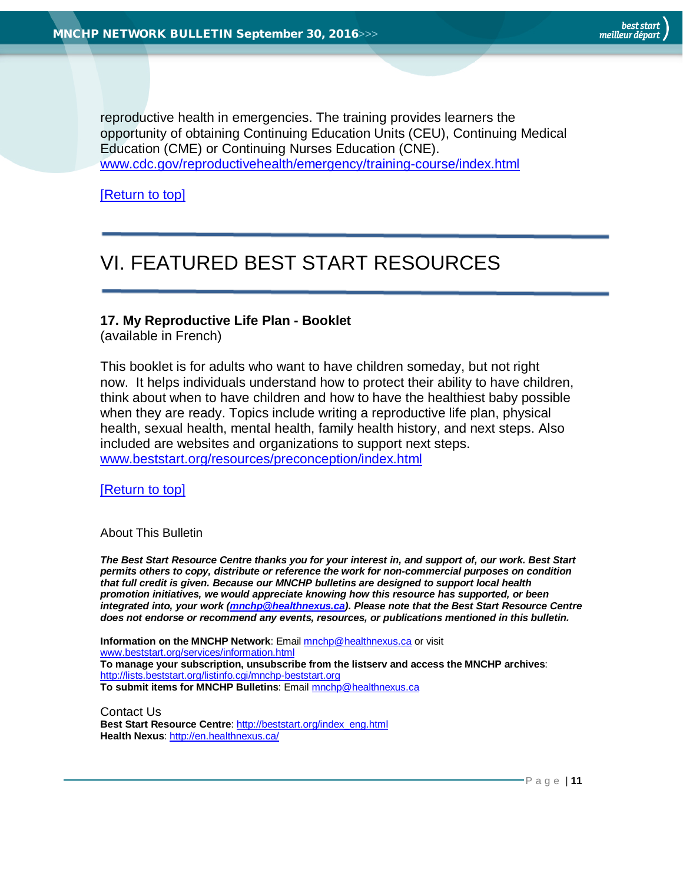best start meilleur départ

reproductive health in emergencies. The training provides learners the opportunity of obtaining Continuing Education Units (CEU), Continuing Medical Education (CME) or Continuing Nurses Education (CNE). [www.cdc.gov/reproductivehealth/emergency/training-course/index.html](http://www.cdc.gov/reproductivehealth/emergency/training-course/index.html)

[\[Return to top\]](#page-0-0)

# <span id="page-10-1"></span>VI. FEATURED BEST START RESOURCES

#### <span id="page-10-2"></span>**17. My Reproductive Life Plan - Booklet**

(available in French)

This booklet is for adults who want to have children someday, but not right now. It helps individuals understand how to protect their ability to have children, think about when to have children and how to have the healthiest baby possible when they are ready. Topics include writing a reproductive life plan, physical health, sexual health, mental health, family health history, and next steps. Also included are websites and organizations to support next steps. [www.beststart.org/resources/preconception/index.html](http://www.beststart.org/resources/preconception/index.html)

[\[Return to top\]](#page-0-0)

<span id="page-10-0"></span>About This Bulletin

*The Best Start Resource Centre thanks you for your interest in, and support of, our work. Best Start permits others to copy, distribute or reference the work for non-commercial purposes on condition that full credit is given. Because our MNCHP bulletins are designed to support local health promotion initiatives, we would appreciate knowing how this resource has supported, or been integrated into, your work [\(mnchp@healthnexus.ca\)](mailto:mnchp@healthnexus.ca). Please note that the Best Start Resource Centre does not endorse or recommend any events, resources, or publications mentioned in this bulletin.* 

**Information on the MNCHP Network**: Emai[l mnchp@healthnexus.ca](mailto:mnchp@healthnexus.ca) or visit [www.beststart.org/services/information.html](http://www.beststart.org/services/information.html) **To manage your subscription, unsubscribe from the listserv and access the MNCHP archives**: <http://lists.beststart.org/listinfo.cgi/mnchp-beststart.org> **To submit items for MNCHP Bulletins**: Emai[l mnchp@healthnexus.ca](mailto:mnchp@healthnexus.ca)

Contact Us **Best Start Resource Centre**: [http://beststart.org/index\\_eng.html](http://beststart.org/index_eng.html) **Health Nexus**:<http://en.healthnexus.ca/>